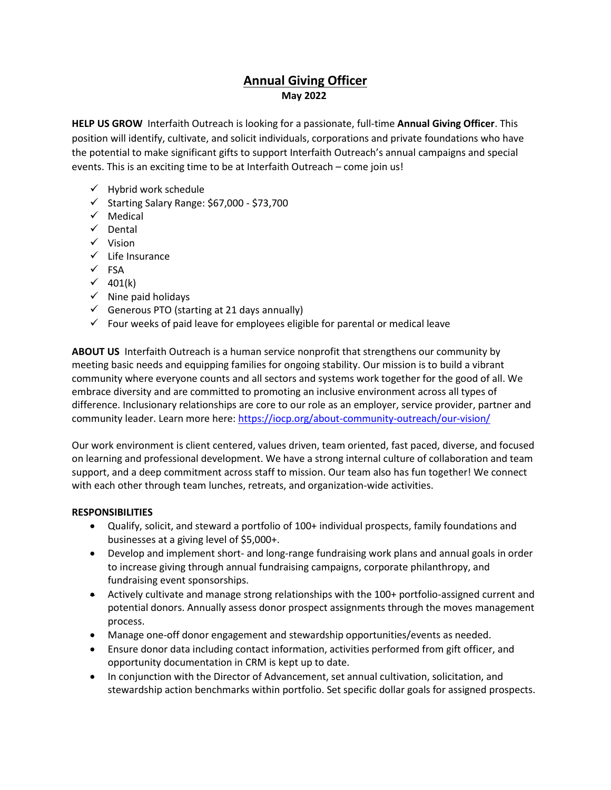## **Annual Giving Officer May 2022**

**HELP US GROW** Interfaith Outreach is looking for a passionate, full-time **Annual Giving Officer**. This position will identify, cultivate, and solicit individuals, corporations and private foundations who have the potential to make significant gifts to support Interfaith Outreach's annual campaigns and special events. This is an exciting time to be at Interfaith Outreach – come join us!

- $\checkmark$  Hybrid work schedule
- $\checkmark$  Starting Salary Range: \$67,000 \$73,700
- $\checkmark$  Medical
- $\checkmark$  Dental
- $\checkmark$  Vision
- $\checkmark$  Life Insurance
- $\checkmark$  FSA
- $\checkmark$  401(k)
- $\checkmark$  Nine paid holidays
- $\checkmark$  Generous PTO (starting at 21 days annually)
- $\checkmark$  Four weeks of paid leave for employees eligible for parental or medical leave

**ABOUT US** Interfaith Outreach is a human service nonprofit that strengthens our community by meeting basic needs and equipping families for ongoing stability. Our mission is to build a vibrant community where everyone counts and all sectors and systems work together for the good of all. We embrace diversity and are committed to promoting an inclusive environment across all types of difference. Inclusionary relationships are core to our role as an employer, service provider, partner and community leader. Learn more here[: https://iocp.org/about-community-outreach/our-vision/](https://iocp.org/about-community-outreach/our-vision/)

Our work environment is client centered, values driven, team oriented, fast paced, diverse, and focused on learning and professional development. We have a strong internal culture of collaboration and team support, and a deep commitment across staff to mission. Our team also has fun together! We connect with each other through team lunches, retreats, and organization-wide activities.  

## **RESPONSIBILITIES**

- Qualify, solicit, and steward a portfolio of 100+ individual prospects, family foundations and businesses at a giving level of \$5,000+.
- Develop and implement short- and long-range fundraising work plans and annual goals in order to increase giving through annual fundraising campaigns, corporate philanthropy, and fundraising event sponsorships.
- Actively cultivate and manage strong relationships with the 100+ portfolio-assigned current and potential donors. Annually assess donor prospect assignments through the moves management process.
- Manage one-off donor engagement and stewardship opportunities/events as needed.
- Ensure donor data including contact information, activities performed from gift officer, and opportunity documentation in CRM is kept up to date.
- In conjunction with the Director of Advancement, set annual cultivation, solicitation, and stewardship action benchmarks within portfolio. Set specific dollar goals for assigned prospects.